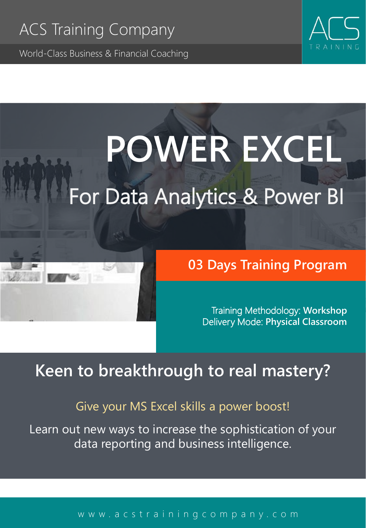World-Class Business & Financial Coaching



# **POWER EXCEL**

## For Data Analytics & Power BI

## **03 Days Training Program**

Training Methodology: **Workshop** Delivery Mode: **Physical Classroom** 

## **Keen to breakthrough to real mastery?**

### Give your MS Excel skills a power boost!

Learn out new ways to increase the sophistication of your data reporting and business intelligence.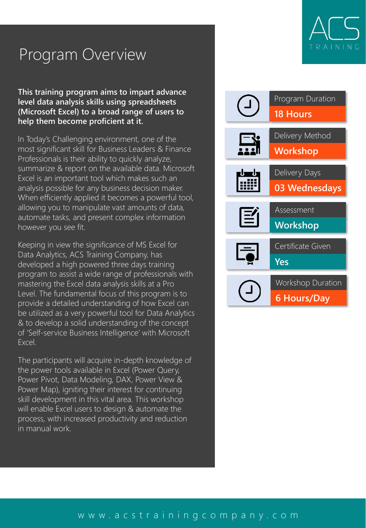## Program Overview

**This training program aims to impart advance level data analysis skills using spreadsheets (Microsoft Excel) to a broad range of users to help them become proficient at it.**

In Today's Challenging environment, one of the most significant skill for Business Leaders & Finance Professionals is their ability to quickly analyze, summarize & report on the available data. Microsoft Excel is an important tool which makes such an analysis possible for any business decision maker. When efficiently applied it becomes a powerful tool, allowing you to manipulate vast amounts of data, automate tasks, and present complex information however you see fit.

Keeping in view the significance of MS Excel for Data Analytics, ACS Training Company, has developed a high powered three days training program to assist a wide range of professionals with mastering the Excel data analysis skills at a Pro Level. The fundamental focus of this program is to provide a detailed understanding of how Excel can be utilized as a very powerful tool for Data Analytics & to develop a solid understanding of the concept of 'Self-service Business Intelligence' with Microsoft Excel.

The participants will acquire in-depth knowledge of the power tools available in Excel (Power Query, Power Pivot, Data Modeling, DAX, Power View & Power Map), igniting their interest for continuing skill development in this vital area. This workshop will enable Excel users to design & automate the process, with increased productivity and reduction in manual work.



## TRAININ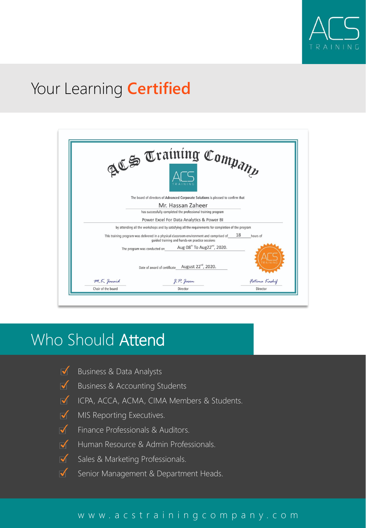

## Your Learning **Certified**



## Who Should Attend

- Business & Data Analysts  $\overline{\mathsf{M}}$
- $\blacktriangledown$ Business & Accounting Students
- **ICPA, ACCA, ACMA, CIMA Members & Students.**
- $\sqrt{\phantom{a}}$  MIS Reporting Executives.
- $\overline{\blacklozenge}$ Finance Professionals & Auditors.
- $\overline{\mathsf{M}}$  . Human Resource & Admin Professionals.
- $\overline{\mathsf{M}}$  . Sales & Marketing Professionals.
- $\overline{\blacktriangledown}$ Senior Management & Department Heads.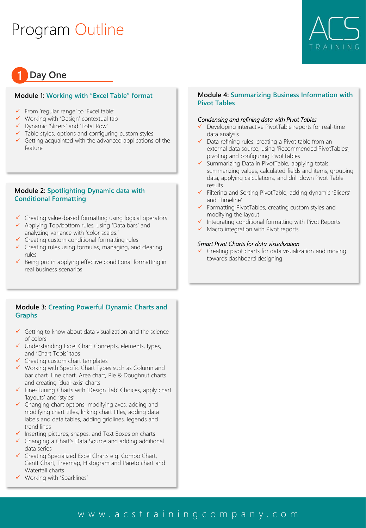## Program Outline



#### **1 Day One**

#### **Module 1: Working with "Excel Table" format**

- ✓ From 'regular range' to 'Excel table'
- ✓ Working with 'Design' contextual tab
- ✓ Dynamic 'Slicers' and 'Total Row'
- $\checkmark$  Table styles, options and configuring custom styles
- $\checkmark$  Getting acquainted with the advanced applications of the feature

#### **Module 2: Spotlighting Dynamic data with Conditional Formatting**

- ✓ Creating value-based formatting using logical operators
- ✓ Applying Top/bottom rules, using 'Data bars' and analyzing variance with 'color scales.'
- ✓ Creating custom conditional formatting rules
- ✓ Creating rules using formulas, managing, and clearing rules
- Being pro in applying effective conditional formatting in real business scenarios

#### **Module 3: Creating Powerful Dynamic Charts and Graphs**

- $\checkmark$  Getting to know about data visualization and the science of colors
- Understanding Excel Chart Concepts, elements, types, and 'Chart Tools' tabs
- ✓ Creating custom chart templates
- ✓ Working with Specific Chart Types such as Column and bar chart, Line chart, Area chart, Pie & Doughnut charts and creating 'dual-axis' charts
- ✓ Fine-Tuning Charts with 'Design Tab' Choices, apply chart 'layouts' and 'styles'
- $\checkmark$  Changing chart options, modifying axes, adding and modifying chart titles, linking chart titles, adding data labels and data tables, adding gridlines, legends and trend lines
- ✓ Inserting pictures, shapes, and Text Boxes on charts
- ✓ Changing a Chart's Data Source and adding additional data series
- ✓ Creating Specialized Excel Charts e.g. Combo Chart, Gantt Chart, Treemap, Histogram and Pareto chart and Waterfall charts
- ✓ Working with 'Sparklines'

#### **Module 4: Summarizing Business Information with Pivot Tables**

#### *Condensing and refining data with Pivot Tables*

- Developing interactive PivotTable reports for real-time data analysis
- ✓ Data refining rules, creating a Pivot table from an external data source, using 'Recommended PivotTables', pivoting and configuring PivotTables
- ✓ Summarizing Data in PivotTable, applying totals, summarizing values, calculated fields and items, grouping data, applying calculations, and drill down Pivot Table results
- ✓ Filtering and Sorting PivotTable, adding dynamic 'Slicers' and 'Timeline'
- ✓ Formatting PivotTables, creating custom styles and modifying the layout
- ✓ Integrating conditional formatting with Pivot Reports
- ✓ Macro integration with Pivot reports

#### *Smart Pivot Charts for data visualization*

Creating pivot charts for data visualization and moving towards dashboard designing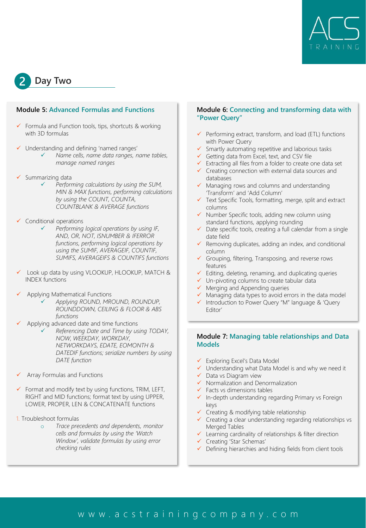

**2 Day Two**

#### **Module 5: Advanced Formulas and Functions**

- $\checkmark$  Formula and Function tools, tips, shortcuts & working with 3D formulas
- ✓ Understanding and defining 'named ranges'
	- ✓ *Name cells, name data ranges, name tables, manage named ranges*
- Summarizing data
	- ✓ *Performing calculations by using the SUM, MIN & MAX functions, performing calculations by using the COUNT, COUNTA, COUNTBLANK & AVERAGE functions*
- Conditional operations
	- ✓ *Performing logical operations by using IF, AND, OR, NOT, ISNUMBER & IFERROR functions, performing logical operations by using the SUMIF, AVERAGEIF, COUNTIF, SUMIFS, AVERAGEIFS & COUNTIFS functions*
- Look up data by using VLOOKUP, HLOOKUP, MATCH & INDEX functions
- ✓ Applying Mathematical Functions
	- ✓ *Applying ROUND, MROUND, ROUNDUP, ROUNDDOWN, CEILING & FLOOR & ABS functions*
- Applying advanced date and time functions
	- ✓ *Referencing Date and Time by using TODAY, NOW, WEEKDAY, WORKDAY, NETWORKDAYS, EDATE, EOMONTH & DATEDIF functions; serialize numbers by using DATE function*
- Array Formulas and Functions
- ✓ Format and modify text by using functions, TRIM, LEFT, RIGHT and MID functions; format text by using UPPER, LOWER, PROPER, LEN & CONCATENATE functions
- 1. Troubleshoot formulas
	- o *Trace precedents and dependents, monitor cells and formulas by using the 'Watch Window', validate formulas by using error checking rules*

#### **Module 6: Connecting and transforming data with "Power Query"**

- Performing extract, transform, and load (ETL) functions with Power Query
- ✓ Smartly automating repetitive and laborious tasks
- ✓ Getting data from Excel, text, and CSV file
- ✓ Extracting all files from a folder to create one data set ✓ Creating connection with external data sources and databases
- ✓ Managing rows and columns and understanding 'Transform' and 'Add Column'
- ✓ Text Specific Tools, formatting, merge, split and extract columns
- ✓ Number Specific tools, adding new column using standard functions, applying rounding
- ✓ Date specific tools, creating a full calendar from a single date field
- ✓ Removing duplicates, adding an index, and conditional column
- ✓ Grouping, filtering, Transposing, and reverse rows features
- ✓ Editing, deleting, renaming, and duplicating queries
- ✓ Un-pivoting columns to create tabular data
- ✓ Merging and Appending queries
- ✓ Managing data types to avoid errors in the data model ✓ Introduction to Power Query "M" language & 'Query
- Editor'

#### **Module 7: Managing table relationships and Data Models**

- ✓ Exploring Excel's Data Model
- ✓ Understanding what Data Model is and why we need it
- ✓ Data vs Diagram view
- ✓ Normalization and Denormalization
- ✓ Facts vs dimensions tables
- ✓ In-depth understanding regarding Primary vs Foreign keys
- ✓ Creating & modifying table relationship
- ✓ Creating a clear understanding regarding relationships vs Merged Tables
- ✓ Learning cardinality of relationships & filter direction
- ✓ Creating 'Star Schemas'
- ✓ Defining hierarchies and hiding fields from client tools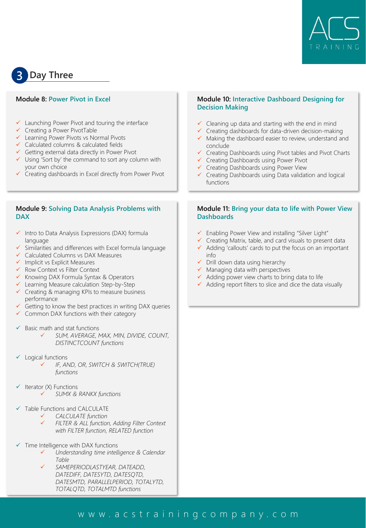

### **3 Day Three**

#### **Module 8: Power Pivot in Excel**

- ✓ Launching Power Pivot and touring the interface
- ✓ Creating a Power PivotTable
- ✓ Learning Power Pivots vs Normal Pivots
- ✓ Calculated columns & calculated fields
- ✓ Getting external data directly in Power Pivot
- ✓ Using 'Sort by' the command to sort any column with your own choice
- Creating dashboards in Excel directly from Power Pivot

#### **Module 9: Solving Data Analysis Problems with DAX**

- ✓ Intro to Data Analysis Expressions (DAX) formula language
- ✓ Similarities and differences with Excel formula language
- ✓ Calculated Columns vs DAX Measures
- ✓ Implicit vs Explicit Measures
- ✓ Row Context vs Filter Context
- ✓ Knowing DAX Formula Syntax & Operators
- ✓ Learning Measure calculation Step-by-Step
- ✓ Creating & managing KPIs to measure business performance
- Getting to know the best practices in writing DAX queries
- ✓ Common DAX functions with their category
- $\checkmark$  Basic math and stat functions
	- ✓ *SUM, AVERAGE, MAX, MIN, DIVIDE, COUNT, DISTINCTCOUNT functions*
- ✓ Logical functions
	- ✓ *IF, AND, OR, SWITCH & SWITCH(TRUE) functions*
- $\checkmark$  Iterator (X) Functions ✓ *SUMX & RANKX functions*
- ✓ Table Functions and CALCULATE
	- ✓ *CALCULATE function*
	- ✓ *FILTER & ALL function, Adding Filter Context with FILTER function, RELATED function*
- Time Intelligence with DAX functions
	- ✓ *Understanding time intelligence & Calendar Table*
	- ✓ *SAMEPERIODLASTYEAR, DATEADD, DATEDIFF, DATESYTD, DATESQTD, DATESMTD, PARALLELPERIOD, TOTALYTD, TOTALQTD, TOTALMTD functions*

#### **Module 10: Interactive Dashboard Designing for Decision Making**

- $\checkmark$  Cleaning up data and starting with the end in mind
- ✓ Creating dashboards for data-driven decision-making
- ✓ Making the dashboard easier to review, understand and conclude
- ✓ Creating Dashboards using Pivot tables and Pivot Charts
- ✓ Creating Dashboards using Power Pivot
- ✓ Creating Dashboards using Power View
- ✓ Creating Dashboards using Data validation and logical functions

#### **Module 11: Bring your data to life with Power View Dashboards**

- ✓ Enabling Power View and installing "Silver Light"
- ✓ Creating Matrix, table, and card visuals to present data ✓ Adding 'callouts' cards to put the focus on an important
- info  $\checkmark$  Drill down data using hierarchy
- ✓ Managing data with perspectives
- ✓ Adding power view charts to bring data to life
- ✓ Adding report filters to slice and dice the data visually